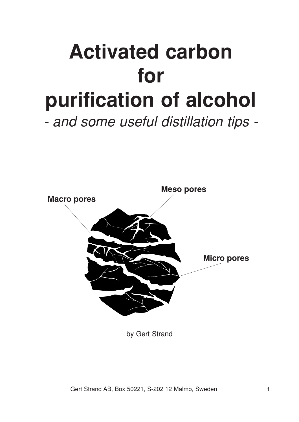

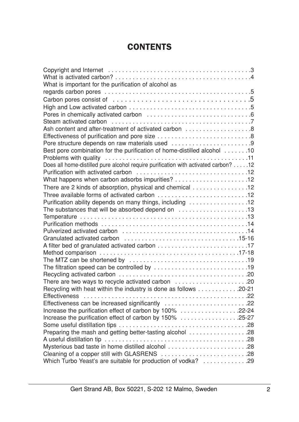## **CONTENTS**

| What is important for the purification of alcohol as                                |  |
|-------------------------------------------------------------------------------------|--|
|                                                                                     |  |
|                                                                                     |  |
|                                                                                     |  |
|                                                                                     |  |
|                                                                                     |  |
| Ash content and after-treatment of activated carbon 8                               |  |
|                                                                                     |  |
| Pore structure depends on raw materials used 9                                      |  |
| Best pore combination for the purification of home-distilled alcohol 10             |  |
|                                                                                     |  |
| Does all home-distilled pure alcohol require purification with activated carbon? 12 |  |
|                                                                                     |  |
|                                                                                     |  |
| There are 2 kinds of absorption, physical and chemical 12                           |  |
| Three available forms of activated carbon 12                                        |  |
| Purification ability depends on many things, including 12                           |  |
| The substances that will be absorbed depend on 13                                   |  |
|                                                                                     |  |
|                                                                                     |  |
|                                                                                     |  |
|                                                                                     |  |
|                                                                                     |  |
|                                                                                     |  |
|                                                                                     |  |
|                                                                                     |  |
|                                                                                     |  |
| There are two ways to recycle activated carbon 20                                   |  |
| Recycling with heat within the industry is done as follows 20-21                    |  |
|                                                                                     |  |
| Effectiveness can be increased significantly 22                                     |  |
|                                                                                     |  |
|                                                                                     |  |
|                                                                                     |  |
| Preparing the mash and getting better-tasting alcohol 28                            |  |
|                                                                                     |  |
|                                                                                     |  |
| Cleaning of a copper still with GLASRENS 28                                         |  |
|                                                                                     |  |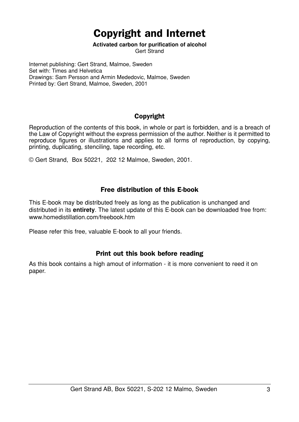# Copyright and Internet

#### **Activated carbon for purification of alcohol**

Gert Strand

Internet publishing: Gert Strand, Malmoe, Sweden Set with: Times and Helvetica Drawings: Sam Persson and Armin Mededovic, Malmoe, Sweden Printed by: Gert Strand, Malmoe, Sweden, 2001

## Copyright

Reproduction of the contents of this book, in whole or part is forbidden, and is a breach of the Law of Copyright without the express permission of the author. Neither is it permitted to reproduce figures or illustrations and applies to all forms of reproduction, by copying, printing, duplicating, stenciling, tape recording, etc.

© Gert Strand, Box 50221, 202 12 Malmoe, Sweden, 2001.

### Free distribution of this E-book

This E-book may be distributed freely as long as the publication is unchanged and distributed in its **entirety**. The latest update of this E-book can be downloaded free from: www.homedistillation.com/freebook.htm

Please refer this free, valuable E-book to all your friends.

#### Print out this book before reading

As this book contains a high amout of information - it is more convenient to reed it on paper.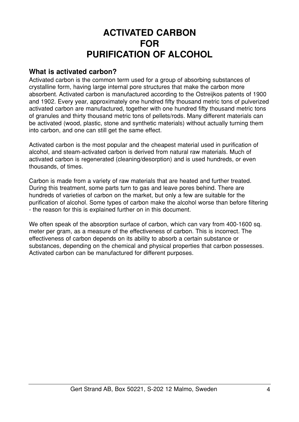## **ACTIVATED CARBON FOR PURIFICATION OF ALCOHOL**

### **What is activated carbon?**

Activated carbon is the common term used for a group of absorbing substances of crystalline form, having large internal pore structures that make the carbon more absorbent. Activated carbon is manufactured according to the Ostreijkos patents of 1900 and 1902. Every year, approximately one hundred fifty thousand metric tons of pulverized activated carbon are manufactured, together with one hundred fifty thousand metric tons of granules and thirty thousand metric tons of pellets/rods. Many different materials can be activated (wood, plastic, stone and synthetic materials) without actually turning them into carbon, and one can still get the same effect.

Activated carbon is the most popular and the cheapest material used in purification of alcohol, and steam-activated carbon is derived from natural raw materials. Much of activated carbon is regenerated (cleaning/desorption) and is used hundreds, or even thousands, of times.

Carbon is made from a variety of raw materials that are heated and further treated. During this treatment, some parts turn to gas and leave pores behind. There are hundreds of varieties of carbon on the market, but only a few are suitable for the purification of alcohol. Some types of carbon make the alcohol worse than before filtering - the reason for this is explained further on in this document.

We often speak of the absorption surface of carbon, which can vary from 400-1600 sq. meter per gram, as a measure of the effectiveness of carbon. This is incorrect. The effectiveness of carbon depends on its ability to absorb a certain substance or substances, depending on the chemical and physical properties that carbon possesses. Activated carbon can be manufactured for different purposes.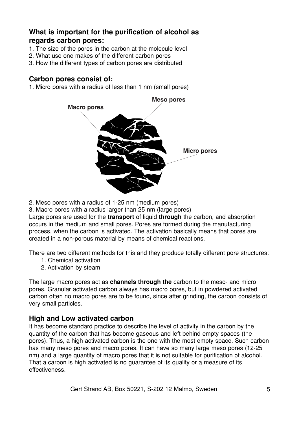## **What is important for the purification of alcohol as regards carbon pores:**

- 1. The size of the pores in the carbon at the molecule level
- 2. What use one makes of the different carbon pores
- 3. How the different types of carbon pores are distributed

### **Carbon pores consist of:**

1. Micro pores with a radius of less than 1 nm (small pores)



- 2. Meso pores with a radius of 1-25 nm (medium pores)
- 3. Macro pores with a radius larger than 25 nm (large pores)

Large pores are used for the **transport** of liquid **through** the carbon, and absorption occurs in the medium and small pores. Pores are formed during the manufacturing process, when the carbon is activated. The activation basically means that pores are created in a non-porous material by means of chemical reactions.

There are two different methods for this and they produce totally different pore structures:

- 1. Chemical activation
- 2. Activation by steam

The large macro pores act as **channels through the** carbon to the meso- and micro pores. Granular activated carbon always has macro pores, but in powdered activated carbon often no macro pores are to be found, since after grinding, the carbon consists of very small particles.

## **High and Low activated carbon**

It has become standard practice to describe the level of activity in the carbon by the quantity of the carbon that has become gaseous and left behind empty spaces (the pores). Thus, a high activated carbon is the one with the most empty space. Such carbon has many meso pores and macro pores. It can have so many large meso pores (12-25 nm) and a large quantity of macro pores that it is not suitable for purification of alcohol. That a carbon is high activated is no guarantee of its quality or a measure of its effectiveness.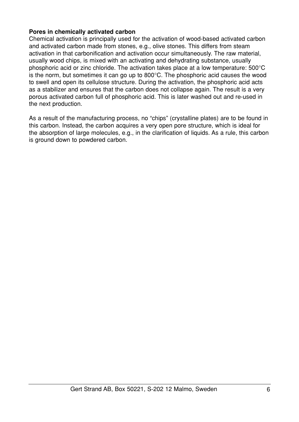#### **Pores in chemically activated carbon**

Chemical activation is principally used for the activation of wood-based activated carbon and activated carbon made from stones, e.g., olive stones. This differs from steam activation in that carbonification and activation occur simultaneously. The raw material, usually wood chips, is mixed with an activating and dehydrating substance, usually phosphoric acid or zinc chloride. The activation takes place at a low temperature: 500°C is the norm, but sometimes it can go up to 800°C. The phosphoric acid causes the wood to swell and open its cellulose structure. During the activation, the phosphoric acid acts as a stabilizer and ensures that the carbon does not collapse again. The result is a very porous activated carbon full of phosphoric acid. This is later washed out and re-used in the next production.

As a result of the manufacturing process, no "chips" (crystalline plates) are to be found in this carbon. Instead, the carbon acquires a very open pore structure, which is ideal for the absorption of large molecules, e.g., in the clarification of liquids. As a rule, this carbon is ground down to powdered carbon.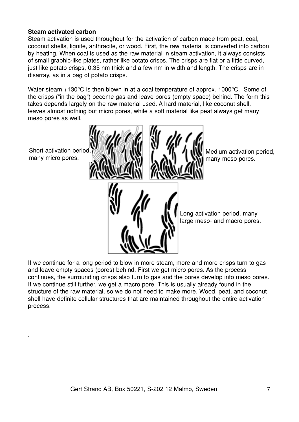#### **Steam activated carbon**

.

Steam activation is used throughout for the activation of carbon made from peat, coal, coconut shells, lignite, anthracite, or wood. First, the raw material is converted into carbon by heating. When coal is used as the raw material in steam activation, it always consists of small graphic-like plates, rather like potato crisps. The crisps are flat or a little curved, just like potato crisps, 0.35 nm thick and a few nm in width and length. The crisps are in disarray, as in a bag of potato crisps.

Water steam +130°C is then blown in at a coal temperature of approx. 1000°C. Some of the crisps ("in the bag") become gas and leave pores (empty space) behind. The form this takes depends largely on the raw material used. A hard material, like coconut shell, leaves almost nothing but micro pores, while a soft material like peat always get many meso pores as well.



If we continue for a long period to blow in more steam, more and more crisps turn to gas and leave empty spaces (pores) behind. First we get micro pores. As the process continues, the surrounding crisps also turn to gas and the pores develop into meso pores. If we continue still further, we get a macro pore. This is usually already found in the structure of the raw material, so we do not need to make more. Wood, peat, and coconut shell have definite cellular structures that are maintained throughout the entire activation process.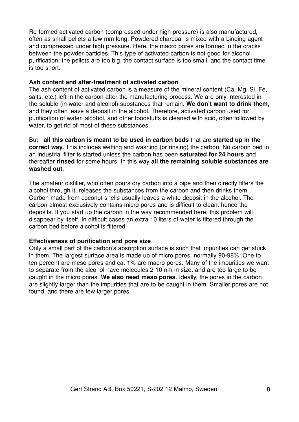Re-formed activated carbon (compressed under high pressure) is also manufactured, often as small pellets a few mm long. Powdered charcoal is mixed with a binding agent and compressed under high pressure. Here, the macro pores are formed in the cracks between the powder particles. This type of activated carbon is not good for alcohol purification: the pellets are too big, the contact surface is too small, and the contact time is too short.

#### **Ash content and after-treatment of activated carbon**

The ash content of activated carbon is a measure of the mineral content (Ca, Mg, Si, Fe, salts, etc.) left in the carbon after the manufacturing process. We are only interested in the soluble (in water and alcohol) substances that remain. **We don't want to drink them,** and they often leave a deposit in the alcohol. Therefore, activated carbon used for purification of water, alcohol, and other foodstuffs is cleaned with acid, often followed by water, to get rid of most of these substances.

But - **all this carbon is meant to be used in carbon beds** that are **started up in the correct way.** This includes wetting and washing (or rinsing) the carbon. No carbon bed in an industrial filter is started unless the carbon has been **saturated for 24 hours** and thereafter **rinsed** for some hours. In this way **all the remaining soluble substances are washed out.** 

The amateur distiller, who often pours dry carbon into a pipe and then directly filters the alcohol through it, releases the substances from the carbon and then drinks them. Carbon made from coconut shells usually leaves a white deposit in the alcohol. The carbon almost exclusively contains micro pores and is difficult to clean: hence the deposits. If you start up the carbon in the way recommended here, this problem will disappear by itself. In difficult cases an extra 10 liters of water is filtered through the carbon bed before alcohol is filtered.

#### **Effectiveness of purification and pore size**

Only a small part of the carbon's absorption surface is such that impurities can get stuck in them. The largest surface area is made up of micro pores, normally 90-98%. One to ten percent are meso pores and ca. 1% are macro pores. Many of the impurities we want to separate from the alcohol have molecules 2-10 nm in size, and are too large to be caught in the micro pores. **We also need meso pores**. Ideally, the pores in the carbon are slightly larger than the impurities that are to be caught in them. Smaller pores are not found, and there are few larger pores.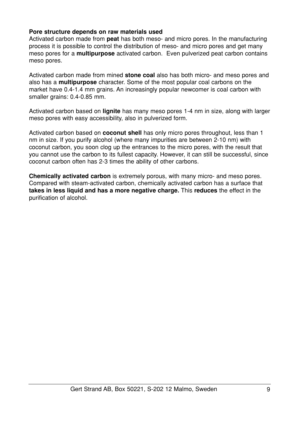#### **Pore structure depends on raw materials used**

Activated carbon made from **peat** has both meso- and micro pores. In the manufacturing process it is possible to control the distribution of meso- and micro pores and get many meso pores for a **multipurpose** activated carbon. Even pulverized peat carbon contains meso pores.

Activated carbon made from mined **stone coal** also has both micro- and meso pores and also has a **multipurpose** character. Some of the most popular coal carbons on the market have 0.4-1.4 mm grains. An increasingly popular newcomer is coal carbon with smaller grains: 0.4-0.85 mm.

Activated carbon based on **lignite** has many meso pores 1-4 nm in size, along with larger meso pores with easy accessibility, also in pulverized form.

Activated carbon based on **coconut shell** has only micro pores throughout, less than 1 nm in size. If you purify alcohol (where many impurities are between 2-10 nm) with coconut carbon, you soon clog up the entrances to the micro pores, with the result that you cannot use the carbon to its fullest capacity. However, it can still be successful, since coconut carbon often has 2-3 times the ability of other carbons.

**Chemically activated carbon** is extremely porous, with many micro- and meso pores. Compared with steam-activated carbon, chemically activated carbon has a surface that **takes in less liquid and has a more negative charge.** This **reduces** the effect in the purification of alcohol.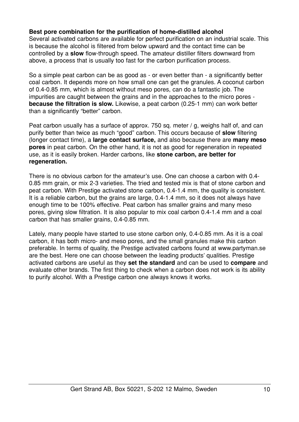#### **Best pore combination for the purification of home-distilled alcohol**

Several activated carbons are available for perfect purification on an industrial scale. This is because the alcohol is filtered from below upward and the contact time can be controlled by a **slow** flow-through speed. The amateur distiller filters downward from above, a process that is usually too fast for the carbon purification process.

So a simple peat carbon can be as good as - or even better than - a significantly better coal carbon. It depends more on how small one can get the granules. A coconut carbon of 0.4-0.85 mm, which is almost without meso pores, can do a fantastic job. The impurities are caught between the grains and in the approaches to the micro pores **because the filtration is slow.** Likewise, a peat carbon (0.25-1 mm) can work better than a significantly "better" carbon.

Peat carbon usually has a surface of approx. 750 sq. meter / g, weighs half of, and can purify better than twice as much "good" carbon. This occurs because of **slow** filtering (longer contact time), a **large contact surface,** and also because there are **many meso pores** in peat carbon. On the other hand, it is not as good for regeneration in repeated use, as it is easily broken. Harder carbons, like **stone carbon, are better for regeneration.**

There is no obvious carbon for the amateur's use. One can choose a carbon with 0.4- 0.85 mm grain, or mix 2-3 varieties. The tried and tested mix is that of stone carbon and peat carbon. With Prestige activated stone carbon, 0.4-1.4 mm, the quality is consistent. It is a reliable carbon, but the grains are large, 0.4-1.4 mm, so it does not always have enough time to be 100% effective. Peat carbon has smaller grains and many meso pores, giving slow filtration. It is also popular to mix coal carbon 0.4-1.4 mm and a coal carbon that has smaller grains, 0.4-0.85 mm.

Lately, many people have started to use stone carbon only, 0.4-0.85 mm. As it is a coal carbon, it has both micro- and meso pores, and the small granules make this carbon preferable. In terms of quality, the Prestige activated carbons found at www.partyman.se are the best. Here one can choose between the leading products' qualities. Prestige activated carbons are useful as they **set the standard** and can be used to **compare** and evaluate other brands. The first thing to check when a carbon does not work is its ability to purify alcohol. With a Prestige carbon one always knows it works.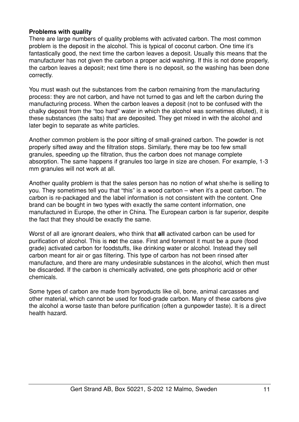#### **Problems with quality**

There are large numbers of quality problems with activated carbon. The most common problem is the deposit in the alcohol. This is typical of coconut carbon. One time it's fantastically good, the next time the carbon leaves a deposit. Usually this means that the manufacturer has not given the carbon a proper acid washing. If this is not done properly, the carbon leaves a deposit; next time there is no deposit, so the washing has been done correctly.

You must wash out the substances from the carbon remaining from the manufacturing process: they are not carbon, and have not turned to gas and left the carbon during the manufacturing process. When the carbon leaves a deposit (not to be confused with the chalky deposit from the "too hard" water in which the alcohol was sometimes diluted), it is these substances (the salts) that are deposited. They get mixed in with the alcohol and later begin to separate as white particles.

Another common problem is the poor sifting of small-grained carbon. The powder is not properly sifted away and the filtration stops. Similarly, there may be too few small granules, speeding up the filtration, thus the carbon does not manage complete absorption. The same happens if granules too large in size are chosen. For example, 1-3 mm granules will not work at all.

Another quality problem is that the sales person has no notion of what she/he is selling to you. They sometimes tell you that "this" is a wood carbon – when it's a peat carbon. The carbon is re-packaged and the label information is not consistent with the content. One brand can be bought in two types with exactly the same content information, one manufactured in Europe, the other in China. The European carbon is far superior, despite the fact that they should be exactly the same.

Worst of all are ignorant dealers, who think that **all** activated carbon can be used for purification of alcohol. This is **no**t the case. First and foremost it must be a pure (food grade) activated carbon for foodstuffs, like drinking water or alcohol. Instead they sell carbon meant for air or gas filtering. This type of carbon has not been rinsed after manufacture, and there are many undesirable substances in the alcohol, which then must be discarded. If the carbon is chemically activated, one gets phosphoric acid or other chemicals.

Some types of carbon are made from byproducts like oil, bone, animal carcasses and other material, which cannot be used for food-grade carbon. Many of these carbons give the alcohol a worse taste than before purification (often a gunpowder taste). It is a direct health hazard.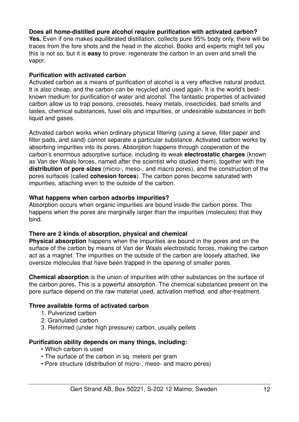#### **Does all home-distilled pure alcohol require purification with activated carbon?**

**Yes.** Even if one makes equilibrated distillation, collects pure 95% body only, there will be traces from the fore shots and the head in the alcohol. Books and experts might tell you this is not so, but it is **easy** to prove: regenerate the carbon in an oven and smell the vapor.

#### **Purification with activated carbon**

Activated carbon as a means of purification of alcohol is a very effective natural product. It is also cheap, and the carbon can be recycled and used again. It is the world's bestknown medium for purification of water and alcohol. The fantastic properties of activated carbon allow us to trap poisons, creosotes, heavy metals, insecticides, bad smells and tastes, chemical substances, fusel oils and impurities, or undesirable substances in both liquid and gases.

Activated carbon works when ordinary physical filtering (using a sieve, filter paper and filter pads, and sand) cannot separate a particular substance. Activated carbon works by absorbing impurities into its pores. Absorption happens through cooperation of the carbon's enormous adsorptive surface, including its weak **electrostatic charges** (known as Van der Waals forces, named after the scientist who studied them), together with the **distribution of pore sizes** (micro-, meso-, and macro pores), and the construction of the pores surfaces (called **cohesion forces**). The carbon pores become saturated with impurities, attaching even to the outside of the carbon.

#### **What happens when carbon adsorbs impurities?**

Absorption occurs when organic impurities are bound inside the carbon pores. This happens when the pores are marginally larger than the impurities (molecules) that they bind.

#### **There are 2 kinds of absorption, physical and chemical**

**Physical absorption** happens when the impurities are bound in the pores and on the surface of the carbon by means of Van der Waals electrostatic forces, making the carbon act as a magnet. The impurities on the outside of the carbon are loosely attached, like oversize molecules that have been trapped in the opening of smaller pores.

**Chemical absorption** is the union of impurities with other substances on the surface of the carbon pores. This is a powerful absorption. The chemical substances present on the pore surface depend on the raw material used, activation method, and after-treatment.

#### **Three available forms of activated carbon**

- 1. Pulverized carbon
- 2. Granulated carbon
- 3. Reformed (under high pressure) carbon, usually pellets

#### **Purification ability depends on many things, including:**

- Which carbon is used
- The surface of the carbon in sq. meters per gram
- Pore structure (distribution of micro-, meso- and macro pores)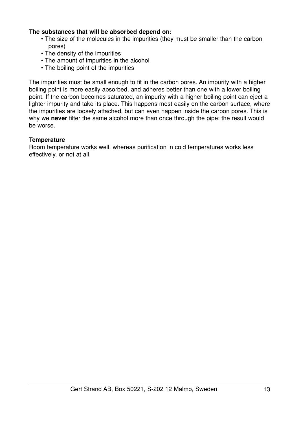#### **The substances that will be absorbed depend on:**

- The size of the molecules in the impurities (they must be smaller than the carbon pores)
- The density of the impurities
- The amount of impurities in the alcohol
- The boiling point of the impurities

The impurities must be small enough to fit in the carbon pores. An impurity with a higher boiling point is more easily absorbed, and adheres better than one with a lower boiling point. If the carbon becomes saturated, an impurity with a higher boiling point can eject a lighter impurity and take its place. This happens most easily on the carbon surface, where the impurities are loosely attached, but can even happen inside the carbon pores. This is why we **never** filter the same alcohol more than once through the pipe: the result would be worse.

#### **Temperature**

Room temperature works well, whereas purification in cold temperatures works less effectively, or not at all.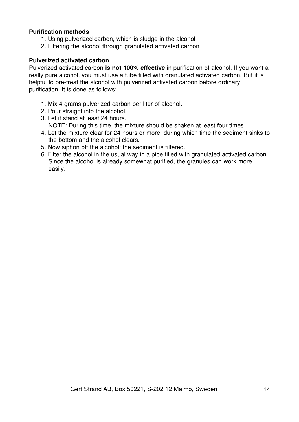#### **Purification methods**

- 1. Using pulverized carbon, which is sludge in the alcohol
- 2. Filtering the alcohol through granulated activated carbon

#### **Pulverized activated carbon**

Pulverized activated carbon **is not 100% effective** in purification of alcohol. If you want a really pure alcohol, you must use a tube filled with granulated activated carbon. But it is helpful to pre-treat the alcohol with pulverized activated carbon before ordinary purification. It is done as follows:

- 1. Mix 4 grams pulverized carbon per liter of alcohol.
- 2. Pour straight into the alcohol.
- 3. Let it stand at least 24 hours. NOTE: During this time, the mixture should be shaken at least four times.
- 4. Let the mixture clear for 24 hours or more, during which time the sediment sinks to the bottom and the alcohol clears.
- 5. Now siphon off the alcohol: the sediment is filtered.
- 6. Filter the alcohol in the usual way in a pipe filled with granulated activated carbon. Since the alcohol is already somewhat purified, the granules can work more easily.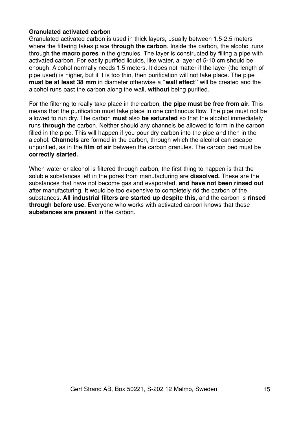#### **Granulated activated carbon**

Granulated activated carbon is used in thick layers, usually between 1.5-2.5 meters where the filtering takes place **through the carbon**. Inside the carbon, the alcohol runs through **the macro pores** in the granules. The layer is constructed by filling a pipe with activated carbon. For easily purified liquids, like water, a layer of 5-10 cm should be enough. Alcohol normally needs 1.5 meters. It does not matter if the layer (the length of pipe used) is higher, but if it is too thin, then purification will not take place. The pipe **must be at least 38 mm** in diameter otherwise a **"wall effect"** will be created and the alcohol runs past the carbon along the wall, **without** being purified.

For the filtering to really take place in the carbon, **the pipe must be free from air.** This means that the purification must take place in one continuous flow. The pipe must not be allowed to run dry. The carbon **must** also **be saturated** so that the alcohol immediately runs **through** the carbon. Neither should any channels be allowed to form in the carbon filled in the pipe. This will happen if you pour dry carbon into the pipe and then in the alcohol. **Channels** are formed in the carbon, through which the alcohol can escape unpurified, as in the **film of air** between the carbon granules. The carbon bed must be **correctly started.**

When water or alcohol is filtered through carbon, the first thing to happen is that the soluble substances left in the pores from manufacturing are **dissolved.** These are the substances that have not become gas and evaporated, **and have not been rinsed out** after manufacturing. It would be too expensive to completely rid the carbon of the substances. **All industrial filters are started up despite this,** and the carbon is **rinsed through before use.** Everyone who works with activated carbon knows that these **substances are present** in the carbon.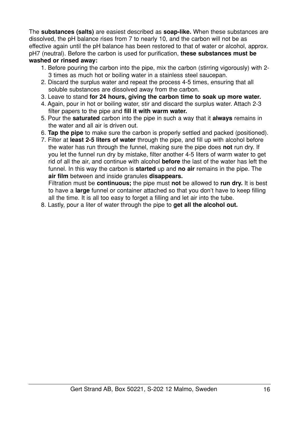The **substances (salts)** are easiest described as **soap-like.** When these substances are dissolved, the pH balance rises from 7 to nearly 10, and the carbon will not be as effective again until the pH balance has been restored to that of water or alcohol, approx. pH7 (neutral). Before the carbon is used for purification, **these substances must be washed or rinsed away:**

- 1. Before pouring the carbon into the pipe, mix the carbon (stirring vigorously) with 2- 3 times as much hot or boiling water in a stainless steel saucepan.
- 2. Discard the surplus water and repeat the process 4-5 times, ensuring that all soluble substances are dissolved away from the carbon.
- 3. Leave to stand **for 24 hours, giving the carbon time to soak up more water.**
- 4. Again, pour in hot or boiling water, stir and discard the surplus water. Attach 2-3 filter papers to the pipe and **fill it with warm water.**
- 5. Pour the **saturated** carbon into the pipe in such a way that it **always** remains in the water and all air is driven out.
- 6. **Tap the pipe** to make sure the carbon is properly settled and packed (positioned).
- 7. Filter at **least 2-5 liters of water** through the pipe, and fill up with alcohol before the water has run through the funnel, making sure the pipe does **not** run dry. If you let the funnel run dry by mistake, filter another 4-5 liters of warm water to get rid of all the air, and continue with alcohol **before** the last of the water has left the funnel. In this way the carbon is **started** up and **no air** remains in the pipe. The **air film** between and inside granules **disappears.**

Filtration must be **continuous;** the pipe must **not** be allowed to **run dry.** It is best to have a **large** funnel or container attached so that you don't have to keep filling all the time. It is all too easy to forget a filling and let air into the tube.

8. Lastly, pour a liter of water through the pipe to **get all the alcohol out.**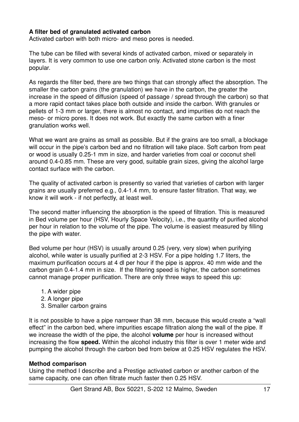#### **A filter bed of granulated activated carbon**

Activated carbon with both micro- and meso pores is needed.

The tube can be filled with several kinds of activated carbon, mixed or separately in layers. It is very common to use one carbon only. Activated stone carbon is the most popular.

As regards the filter bed, there are two things that can strongly affect the absorption. The smaller the carbon grains (the granulation) we have in the carbon, the greater the increase in the speed of diffusion (speed of passage / spread through the carbon) so that a more rapid contact takes place both outside and inside the carbon. With granules or pellets of 1-3 mm or larger, there is almost no contact, and impurities do not reach the meso- or micro pores. It does not work. But exactly the same carbon with a finer granulation works well.

What we want are grains as small as possible. But if the grains are too small, a blockage will occur in the pipe's carbon bed and no filtration will take place. Soft carbon from peat or wood is usually 0.25-1 mm in size, and harder varieties from coal or coconut shell around 0.4-0.85 mm. These are very good, suitable grain sizes, giving the alcohol large contact surface with the carbon.

The quality of activated carbon is presently so varied that varieties of carbon with larger grains are usually preferred e.g., 0.4-1.4 mm, to ensure faster filtration. That way, we know it will work - if not perfectly, at least well.

The second matter influencing the absorption is the speed of filtration. This is measured in Bed volume per hour (HSV, Hourly Space Velocity), i.e., the quantity of purified alcohol per hour in relation to the volume of the pipe. The volume is easiest measured by filling the pipe with water.

Bed volume per hour (HSV) is usually around 0.25 (very, very slow) when purifying alcohol, while water is usually purified at 2-3 HSV. For a pipe holding 1.7 liters, the maximum purification occurs at 4 dl per hour if the pipe is approx. 40 mm wide and the carbon grain 0.4-1.4 mm in size. If the filtering speed is higher, the carbon sometimes cannot manage proper purification. There are only three ways to speed this up:

- 1. A wider pipe
- 2. A longer pipe
- 3. Smaller carbon grains

It is not possible to have a pipe narrower than 38 mm, because this would create a "wall effect" in the carbon bed, where impurities escape filtration along the wall of the pipe. If we increase the width of the pipe, the alcohol **volume** per hour is increased without increasing the flow **speed.** Within the alcohol industry this filter is over 1 meter wide and pumping the alcohol through the carbon bed from below at 0.25 HSV regulates the HSV.

#### **Method comparison**

Using the method I describe and a Prestige activated carbon or another carbon of the same capacity, one can often filtrate much faster then 0.25 HSV.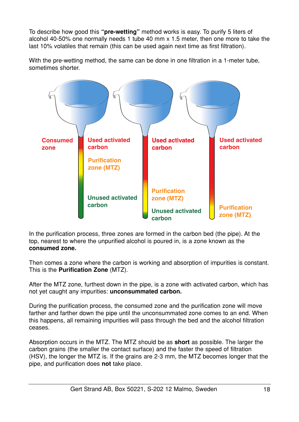To describe how good this **"pre-wetting"** method works is easy. To purify 5 liters of alcohol 40-50% one normally needs 1 tube 40 mm x 1.5 meter, then one more to take the last 10% volatiles that remain (this can be used again next time as first filtration).

With the pre-wetting method, the same can be done in one filtration in a 1-meter tube, sometimes shorter.



In the purification process, three zones are formed in the carbon bed (the pipe). At the top, nearest to where the unpurified alcohol is poured in, is a zone known as the **consumed zone.** 

Then comes a zone where the carbon is working and absorption of impurities is constant. This is the **Purification Zone** (MTZ).

After the MTZ zone, furthest down in the pipe, is a zone with activated carbon, which has not yet caught any impurities: **unconsummated carbon.**

During the purification process, the consumed zone and the purification zone will move farther and farther down the pipe until the unconsummated zone comes to an end. When this happens, all remaining impurities will pass through the bed and the alcohol filtration ceases.

Absorption occurs in the MTZ. The MTZ should be as **short** as possible. The larger the carbon grains (the smaller the contact surface) and the faster the speed of filtration (HSV), the longer the MTZ is. If the grains are 2-3 mm, the MTZ becomes longer that the pipe, and purification does **not** take place.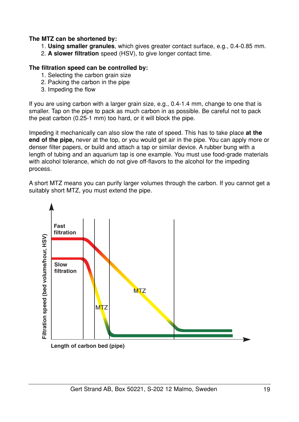#### **The MTZ can be shortened by:**

- 1. **Using smaller granules**, which gives greater contact surface, e.g., 0.4-0.85 mm.
- 2. **A slower filtration** speed (HSV), to give longer contact time.

#### **The filtration speed can be controlled by:**

- 1. Selecting the carbon grain size
- 2. Packing the carbon in the pipe
- 3. Impeding the flow

If you are using carbon with a larger grain size, e.g., 0.4-1.4 mm, change to one that is smaller. Tap on the pipe to pack as much carbon in as possible. Be careful not to pack the peat carbon (0.25-1 mm) too hard, or it will block the pipe.

Impeding it mechanically can also slow the rate of speed. This has to take place **at the end of the pipe,** never at the top, or you would get air in the pipe. You can apply more or denser filter papers, or build and attach a tap or similar device. A rubber bung with a length of tubing and an aquarium tap is one example. You must use food-grade materials with alcohol tolerance, which do not give off-flavors to the alcohol for the impeding process.

A short MTZ means you can purify larger volumes through the carbon. If you cannot get a suitably short MTZ, you must extend the pipe.

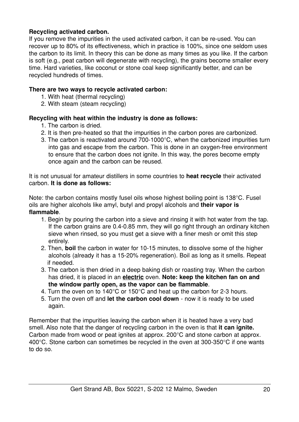#### **Recycling activated carbon.**

If you remove the impurities in the used activated carbon, it can be re-used. You can recover up to 80% of its effectiveness, which in practice is 100%, since one seldom uses the carbon to its limit. In theory this can be done as many times as you like. If the carbon is soft (e.g., peat carbon will degenerate with recycling), the grains become smaller every time. Hard varieties, like coconut or stone coal keep significantly better, and can be recycled hundreds of times.

#### **There are two ways to recycle activated carbon:**

- 1. With heat (thermal recycling)
- 2. With steam (steam recycling)

#### **Recycling with heat within the industry is done as follows:**

- 1. The carbon is dried.
- 2. It is then pre-heated so that the impurities in the carbon pores are carbonized.
- 3. The carbon is reactivated around 700-1000°C, when the carbonized impurities turn into gas and escape from the carbon. This is done in an oxygen-free environment to ensure that the carbon does not ignite. In this way, the pores become empty once again and the carbon can be reused.

It is not unusual for amateur distillers in some countries to **heat recycle** their activated carbon. **It is done as follows:**

Note: the carbon contains mostly fusel oils whose highest boiling point is 138°C. Fusel oils are higher alcohols like amyl, butyl and propyl alcohols and **their vapor is flammable**.

- 1. Begin by pouring the carbon into a sieve and rinsing it with hot water from the tap. If the carbon grains are 0.4-0.85 mm, they will go right through an ordinary kitchen sieve when rinsed, so you must get a sieve with a finer mesh or omit this step entirely.
- 2. Then, **boil** the carbon in water for 10-15 minutes, to dissolve some of the higher alcohols (already it has a 15-20% regeneration). Boil as long as it smells. Repeat if needed.
- 3. The carbon is then dried in a deep baking dish or roasting tray. When the carbon has dried, it is placed in an **electric** oven. **Note: keep the kitchen fan on and the window partly open, as the vapor can be flammable**.
- 4. Turn the oven on to 140°C or 150°C and heat up the carbon for 2-3 hours.
- 5. Turn the oven off and **let the carbon cool down** now it is ready to be used again.

Remember that the impurities leaving the carbon when it is heated have a very bad smell. Also note that the danger of recycling carbon in the oven is that **it can ignite.** Carbon made from wood or peat ignites at approx. 200°C and stone carbon at approx. 400°C. Stone carbon can sometimes be recycled in the oven at 300-350°C if one wants to do so.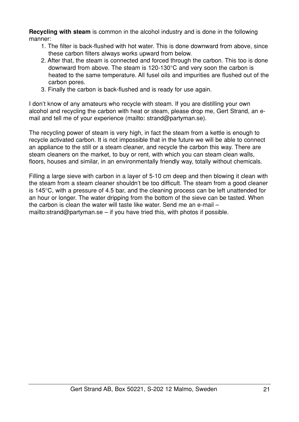**Recycling with steam** is common in the alcohol industry and is done in the following manner:

- 1. The filter is back-flushed with hot water. This is done downward from above, since these carbon filters always works upward from below.
- 2. After that, the steam is connected and forced through the carbon. This too is done downward from above. The steam is 120-130°C and very soon the carbon is heated to the same temperature. All fusel oils and impurities are flushed out of the carbon pores.
- 3. Finally the carbon is back-flushed and is ready for use again.

I don't know of any amateurs who recycle with steam. If you are distilling your own alcohol and recycling the carbon with heat or steam, please drop me, Gert Strand, an email and tell me of your experience (mailto: strand@partyman.se).

The recycling power of steam is very high, in fact the steam from a kettle is enough to recycle activated carbon. It is not impossible that in the future we will be able to connect an appliance to the still or a steam cleaner, and recycle the carbon this way. There are steam cleaners on the market, to buy or rent, with which you can steam clean walls, floors, houses and similar, in an environmentally friendly way, totally without chemicals.

Filling a large sieve with carbon in a layer of 5-10 cm deep and then blowing it clean with the steam from a steam cleaner shouldn't be too difficult. The steam from a good cleaner is 145°C, with a pressure of 4.5 bar, and the cleaning process can be left unattended for an hour or longer. The water dripping from the bottom of the sieve can be tasted. When the carbon is clean the water will taste like water. Send me an e-mail – mailto:strand@partyman.se – if you have tried this, with photos if possible.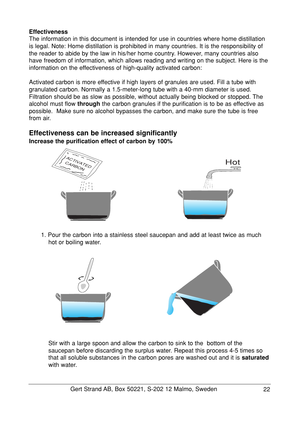#### **Effectiveness**

The information in this document is intended for use in countries where home distillation is legal. Note: Home distillation is prohibited in many countries. It is the responsibility of the reader to abide by the law in his/her home country. However, many countries also have freedom of information, which allows reading and writing on the subject. Here is the information on the effectiveness of high-quality activated carbon:

Activated carbon is more effective if high layers of granules are used. Fill a tube with granulated carbon. Normally a 1.5-meter-long tube with a 40-mm diameter is used. Filtration should be as slow as possible, without actually being blocked or stopped. The alcohol must flow **through** the carbon granules if the purification is to be as effective as possible. Make sure no alcohol bypasses the carbon, and make sure the tube is free from air.

#### **Effectiveness can be increased significantly Increase the purification effect of carbon by 100%**



1. Pour the carbon into a stainless steel saucepan and add at least twice as much hot or boiling water.



Stir with a large spoon and allow the carbon to sink to the bottom of the saucepan before discarding the surplus water. Repeat this process 4-5 times so that all soluble substances in the carbon pores are washed out and it is **saturated** with water.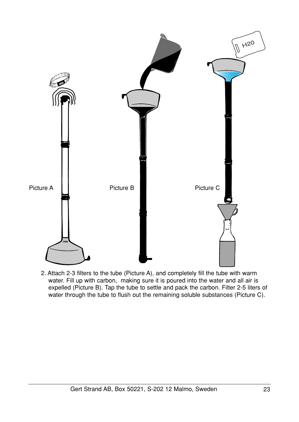

2. Attach 2-3 filters to the tube (Picture A), and completely fill the tube with warm water. Fill up with carbon, making sure it is poured into the water and all air is expelled (Picture B). Tap the tube to settle and pack the carbon. Filter 2-5 liters of water through the tube to flush out the remaining soluble substances (Picture C).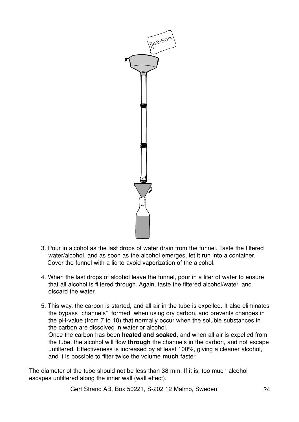

- 3. Pour in alcohol as the last drops of water drain from the funnel. Taste the filtered water/alcohol, and as soon as the alcohol emerges, let it run into a container. Cover the funnel with a lid to avoid vaporization of the alcohol.
- 4. When the last drops of alcohol leave the funnel, pour in a liter of water to ensure that all alcohol is filtered through. Again, taste the filtered alcohol/water, and discard the water.
- 5. This way, the carbon is started, and all air in the tube is expelled. It also eliminates the bypass "channels" formed when using dry carbon, and prevents changes in the pH-value (from 7 to 10) that normally occur when the soluble substances in the carbon are dissolved in water or alcohol. Once the carbon has been **heated and soaked**, and when all air is expelled from

the tube, the alcohol will flow **through** the channels in the carbon, and not escape unfiltered. Effectiveness is increased by at least 100%, giving a cleaner alcohol, and it is possible to filter twice the volume **much** faster.

The diameter of the tube should not be less than 38 mm. If it is, too much alcohol escapes unfiltered along the inner wall (wall effect).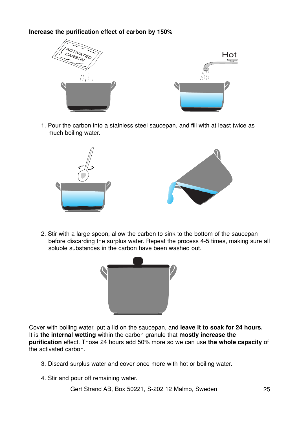#### **Increase the purification effect of carbon by 150%**



1. Pour the carbon into a stainless steel saucepan, and fill with at least twice as much boiling water.



2. Stir with a large spoon, allow the carbon to sink to the bottom of the saucepan before discarding the surplus water. Repeat the process 4-5 times, making sure all soluble substances in the carbon have been washed out.



Cover with boiling water, put a lid on the saucepan, and **leave it to soak for 24 hours.** It is **the internal wetting** within the carbon granule that **mostly increase the purification** effect. Those 24 hours add 50% more so we can use **the whole capacity** of the activated carbon.

- 3. Discard surplus water and cover once more with hot or boiling water.
- 4. Stir and pour off remaining water.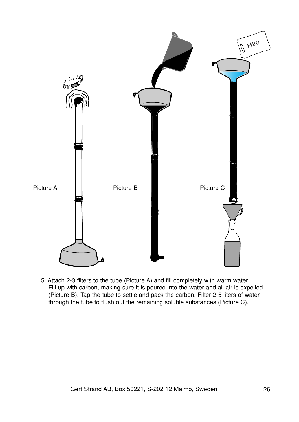

5. Attach 2-3 filters to the tube (Picture A),and fill completely with warm water. Fill up with carbon, making sure it is poured into the water and all air is expelled (Picture B). Tap the tube to settle and pack the carbon. Filter 2-5 liters of water through the tube to flush out the remaining soluble substances (Picture C).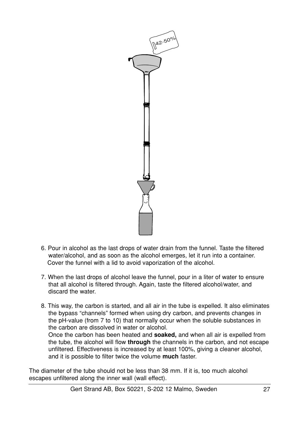

- 6. Pour in alcohol as the last drops of water drain from the funnel. Taste the filtered water/alcohol, and as soon as the alcohol emerges, let it run into a container. Cover the funnel with a lid to avoid vaporization of the alcohol.
- 7. When the last drops of alcohol leave the funnel, pour in a liter of water to ensure that all alcohol is filtered through. Again, taste the filtered alcohol/water, and discard the water.
- 8. This way, the carbon is started, and all air in the tube is expelled. It also eliminates the bypass "channels" formed when using dry carbon, and prevents changes in the pH-value (from 7 to 10) that normally occur when the soluble substances in the carbon are dissolved in water or alcohol. Once the carbon has been heated and **soaked,** and when all air is expelled from

the tube, the alcohol will flow **through** the channels in the carbon, and not escape unfiltered. Effectiveness is increased by at least 100%, giving a cleaner alcohol, and it is possible to filter twice the volume **much** faster.

The diameter of the tube should not be less than 38 mm. If it is, too much alcohol escapes unfiltered along the inner wall (wall effect).